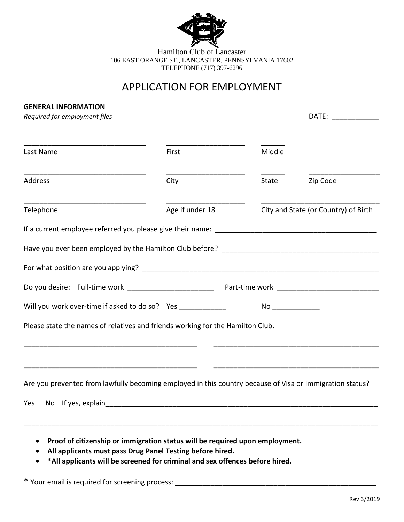

Hamilton Club of Lancaster 106 EAST ORANGE ST., LANCASTER, PENNSYLVANIA 17602 TELEPHONE (717) 397-6296

# APPLICATION FOR EMPLOYMENT

### **GENERAL INFORMATION**

| Required for employment files | DATE: |
|-------------------------------|-------|
|                               |       |

| A. |  |  |  |  |  |  |  |
|----|--|--|--|--|--|--|--|
|    |  |  |  |  |  |  |  |

| Last Name                                                                                                | First                                                                        | Middle |                                      |
|----------------------------------------------------------------------------------------------------------|------------------------------------------------------------------------------|--------|--------------------------------------|
| <b>Address</b>                                                                                           | City                                                                         | State  | Zip Code                             |
| Telephone                                                                                                | Age if under 18                                                              |        | City and State (or Country) of Birth |
|                                                                                                          |                                                                              |        |                                      |
|                                                                                                          |                                                                              |        |                                      |
|                                                                                                          |                                                                              |        |                                      |
| Do you desire: Full-time work __________________________ Part-time work ____________________________     |                                                                              |        |                                      |
| Will you work over-time if asked to do so? Yes _____________                                             |                                                                              |        |                                      |
| Please state the names of relatives and friends working for the Hamilton Club.                           |                                                                              |        |                                      |
|                                                                                                          |                                                                              |        |                                      |
|                                                                                                          |                                                                              |        |                                      |
| Are you prevented from lawfully becoming employed in this country because of Visa or Immigration status? |                                                                              |        |                                      |
| Yes                                                                                                      |                                                                              |        |                                      |
|                                                                                                          | Proof of citizenship or immigration status will be required upon employment. |        |                                      |

- **All applicants must pass Drug Panel Testing before hired.**
- **\*All applicants will be screened for criminal and sex offences before hired.**

\* Your email is required for screening process: \_\_\_\_\_\_\_\_\_\_\_\_\_\_\_\_\_\_\_\_\_\_\_\_\_\_\_\_\_\_\_\_\_\_\_\_\_\_\_\_\_\_\_\_\_\_\_\_\_\_\_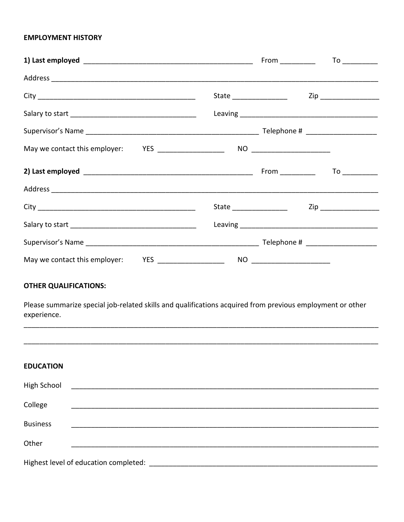## **EMPLOYMENT HISTORY**

|                                                                                                                                           |  | State ____________________   Zip ___________________ |  |  |
|-------------------------------------------------------------------------------------------------------------------------------------------|--|------------------------------------------------------|--|--|
|                                                                                                                                           |  |                                                      |  |  |
|                                                                                                                                           |  |                                                      |  |  |
|                                                                                                                                           |  |                                                      |  |  |
| <b>OTHER QUALIFICATIONS:</b><br>Please summarize special job-related skills and qualifications acquired from previous employment or other |  |                                                      |  |  |
| experience.                                                                                                                               |  |                                                      |  |  |
|                                                                                                                                           |  |                                                      |  |  |
| <b>EDUCATION</b>                                                                                                                          |  |                                                      |  |  |
| <b>High School</b>                                                                                                                        |  |                                                      |  |  |
| College                                                                                                                                   |  |                                                      |  |  |
| <b>Business</b>                                                                                                                           |  |                                                      |  |  |
| Other                                                                                                                                     |  |                                                      |  |  |
| Highest level of education completed:                                                                                                     |  |                                                      |  |  |